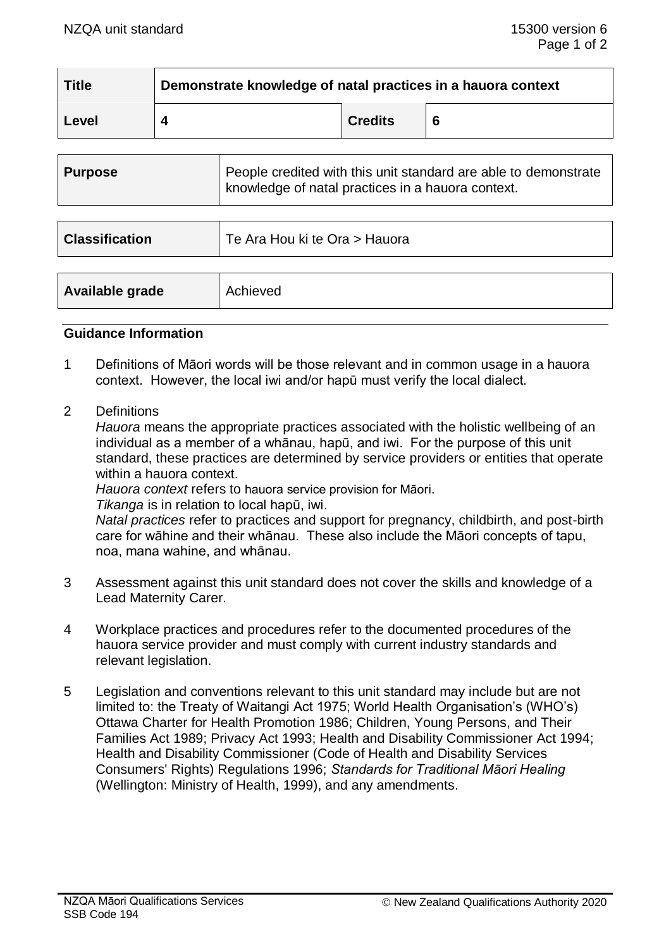| <b>Title</b> | Demonstrate knowledge of natal practices in a hauora context |                |  |  |  |
|--------------|--------------------------------------------------------------|----------------|--|--|--|
| Level        |                                                              | <b>Credits</b> |  |  |  |

| <b>Purpose</b>        | People credited with this unit standard are able to demonstrate<br>knowledge of natal practices in a hauora context. |  |  |
|-----------------------|----------------------------------------------------------------------------------------------------------------------|--|--|
| <b>Classification</b> | Te Ara Hou ki te Ora > Hauora                                                                                        |  |  |
|                       |                                                                                                                      |  |  |
| Available grade       | Achieved                                                                                                             |  |  |

#### **Guidance Information**

- 1 Definitions of Māori words will be those relevant and in common usage in a hauora context. However, the local iwi and/or hapū must verify the local dialect.
- 2 Definitions

*Hauora* means the appropriate practices associated with the holistic wellbeing of an individual as a member of a whānau, hapū, and iwi. For the purpose of this unit standard, these practices are determined by service providers or entities that operate within a hauora context.

*Hauora context* refers to hauora service provision for Māori.

*Tikanga* is in relation to local hapū, iwi.

*Natal practices* refer to practices and support for pregnancy, childbirth, and post-birth care for wāhine and their whānau. These also include the Māori concepts of tapu, noa, mana wahine, and whānau.

- 3 Assessment against this unit standard does not cover the skills and knowledge of a Lead Maternity Carer.
- 4 Workplace practices and procedures refer to the documented procedures of the hauora service provider and must comply with current industry standards and relevant legislation.
- 5 Legislation and conventions relevant to this unit standard may include but are not limited to: the Treaty of Waitangi Act 1975; World Health Organisation's (WHO's) Ottawa Charter for Health Promotion 1986; Children, Young Persons, and Their Families Act 1989; Privacy Act 1993; Health and Disability Commissioner Act 1994; Health and Disability Commissioner (Code of Health and Disability Services Consumers' Rights) Regulations 1996; *Standards for Traditional Māori Healing* (Wellington: Ministry of Health, 1999), and any amendments.